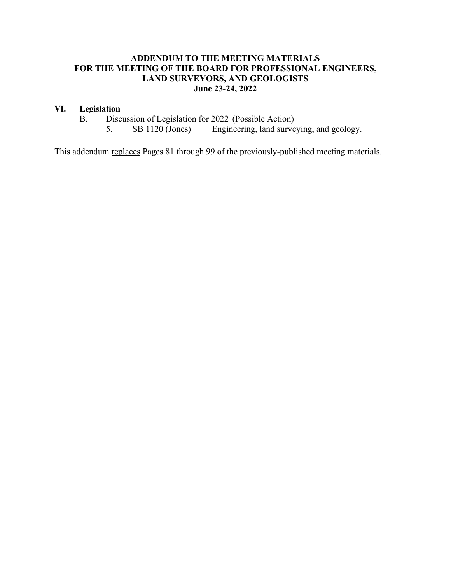# **ADDENDUM TO THE MEETING MATERIALS FOR THE MEETING OF THE BOARD FOR PROFESSIONAL ENGINEERS, LAND SURVEYORS, AND GEOLOGISTS June 23-24, 2022**

# **VI. Legislation**

- Discussion of Legislation for 2022 (Possible Action)
	- 5. SB 1120 (Jones) Engineering, land surveying, and geology.

This addendum replaces Pages 81 through 99 of the previously-published meeting materials.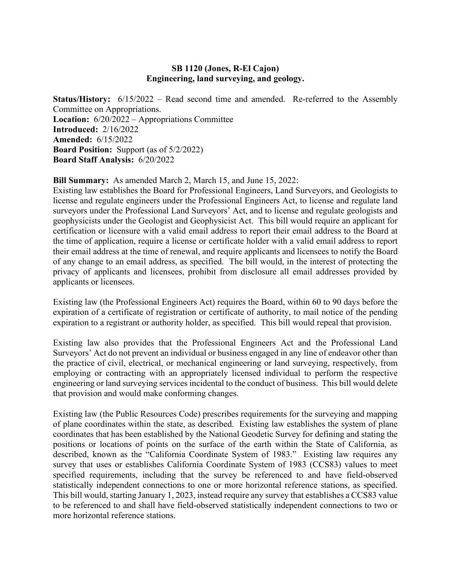## **SB 1120 (Jones, R-El Cajon) Engineering, land surveying, and geology.**

 **Status/History:** 6/15/2022 – Read second time and amended. Re-referred to the Assembly **Location:** 6/20/2022 – Appropriations Committee **Introduced:** 2/16/2022 **Amended:** 6/15/2022 **Board Position:** Support (as of 5/2/2022) **Board Staff Analysis:** 6/20/2022 Committee on Appropriations.

**Bill Summary:** As amended March 2, March 15, and June 15, 2022:

 geophysicists under the Geologist and Geophysicist Act. This bill would require an applicant for Existing law establishes the Board for Professional Engineers, Land Surveyors, and Geologists to license and regulate engineers under the Professional Engineers Act, to license and regulate land surveyors under the Professional Land Surveyors' Act, and to license and regulate geologists and certification or licensure with a valid email address to report their email address to the Board at the time of application, require a license or certificate holder with a valid email address to report their email address at the time of renewal, and require applicants and licensees to notify the Board of any change to an email address, as specified. The bill would, in the interest of protecting the privacy of applicants and licensees, prohibit from disclosure all email addresses provided by applicants or licensees.

 expiration to a registrant or authority holder, as specified. This bill would repeal that provision. Existing law (the Professional Engineers Act) requires the Board, within 60 to 90 days before the expiration of a certificate of registration or certificate of authority, to mail notice of the pending

 employing or contracting with an appropriately licensed individual to perform the respective engineering or land surveying services incidental to the conduct of business. This bill would delete Existing law also provides that the Professional Engineers Act and the Professional Land Surveyors' Act do not prevent an individual or business engaged in any line of endeavor other than the practice of civil, electrical, or mechanical engineering or land surveying, respectively, from that provision and would make conforming changes.

 of plane coordinates within the state, as described. Existing law establishes the system of plane described, known as the "California Coordinate System of 1983." Existing law requires any statistically independent connections to one or more horizontal reference stations, as specified. Existing law (the Public Resources Code) prescribes requirements for the surveying and mapping coordinates that has been established by the National Geodetic Survey for defining and stating the positions or locations of points on the surface of the earth within the State of California, as survey that uses or establishes California Coordinate System of 1983 (CCS83) values to meet specified requirements, including that the survey be referenced to and have field-observed This bill would, starting January 1, 2023, instead require any survey that establishes a CCS83 value to be referenced to and shall have field-observed statistically independent connections to two or more horizontal reference stations.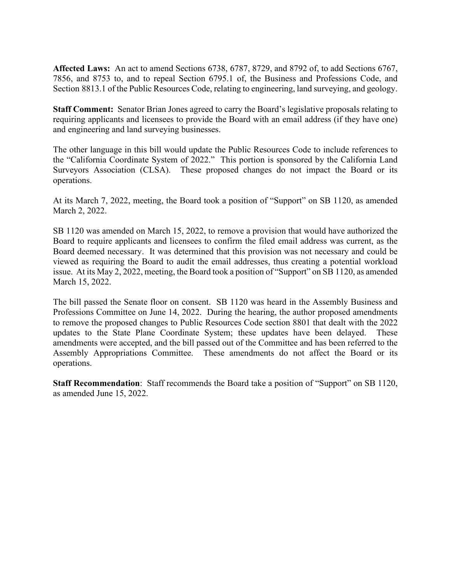**Affected Laws:** An act to amend Sections 6738, 6787, 8729, and 8792 of, to add Sections 6767, 7856, and 8753 to, and to repeal Section 6795.1 of, the Business and Professions Code, and Section 8813.1 of the Public Resources Code, relating to engineering, land surveying, and geology.

 **Staff Comment:** Senator Brian Jones agreed to carry the Board's legislative proposals relating to requiring applicants and licensees to provide the Board with an email address (if they have one) and engineering and land surveying businesses.

 the "California Coordinate System of 2022." This portion is sponsored by the California Land The other language in this bill would update the Public Resources Code to include references to Surveyors Association (CLSA). These proposed changes do not impact the Board or its operations.

 March 2, 2022. At its March 7, 2022, meeting, the Board took a position of "Support" on SB 1120, as amended

 issue. At its May 2, 2022, meeting, the Board took a position of "Support" on SB 1120, as amended March 15, 2022. SB 1120 was amended on March 15, 2022, to remove a provision that would have authorized the Board to require applicants and licensees to confirm the filed email address was current, as the Board deemed necessary. It was determined that this provision was not necessary and could be viewed as requiring the Board to audit the email addresses, thus creating a potential workload

 Professions Committee on June 14, 2022. During the hearing, the author proposed amendments The bill passed the Senate floor on consent. SB 1120 was heard in the Assembly Business and to remove the proposed changes to Public Resources Code section 8801 that dealt with the 2022 updates to the State Plane Coordinate System; these updates have been delayed. These amendments were accepted, and the bill passed out of the Committee and has been referred to the Assembly Appropriations Committee. These amendments do not affect the Board or its operations.

 **Staff Recommendation**: Staff recommends the Board take a position of "Support" on SB 1120, as amended June 15, 2022.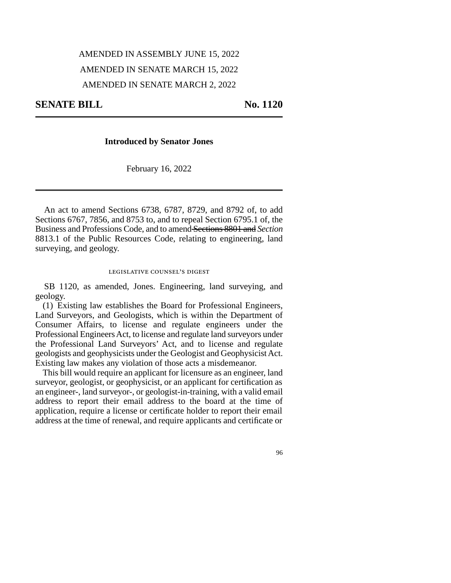# AMENDED IN ASSEMBLY JUNE 15, 2022 AMENDED IN SENATE MARCH 15, 2022 AMENDED IN SENATE MARCH 2, 2022

# **SENATE BILL** No. 1120

### **Introduced by Senator Jones**

February 16, 2022

An act to amend Sections 6738, 6787, 8729, and 8792 of, to add Sections 6767, 7856, and 8753 to, and to repeal Section 6795.1 of, the Business and Professions Code, and to amend Sections 8801 and *Section*  8813.1 of the Public Resources Code, relating to engineering, land surveying, and geology.

### legislative counsel's digest

SB 1120, as amended, Jones. Engineering, land surveying, and geology.

 (1) Existing law establishes the Board for Professional Engineers, Land Surveyors, and Geologists, which is within the Department of Consumer Affairs, to license and regulate engineers under the Professional Engineers Act, to license and regulate land surveyors under the Professional Land Surveyors' Act, and to license and regulate geologists and geophysicists under the Geologist and Geophysicist Act. Existing law makes any violation of those acts a misdemeanor.

This bill would require an applicant for licensure as an engineer, land surveyor, geologist, or geophysicist, or an applicant for certifcation as an engineer-, land surveyor-, or geologist-in-training, with a valid email address to report their email address to the board at the time of application, require a license or certifcate holder to report their email address at the time of renewal, and require applicants and certifcate or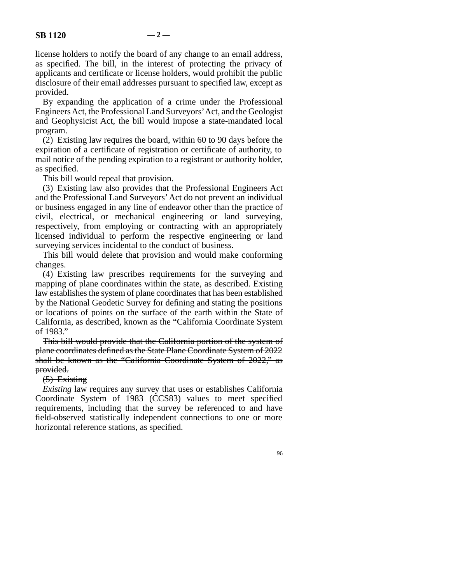license holders to notify the board of any change to an email address, as specifed. The bill, in the interest of protecting the privacy of applicants and certifcate or license holders, would prohibit the public disclosure of their email addresses pursuant to specifed law, except as provided.

By expanding the application of a crime under the Professional Engineers Act, the Professional Land Surveyors'Act, and the Geologist and Geophysicist Act, the bill would impose a state-mandated local program.

 (2) Existing law requires the board, within 60 to 90 days before the expiration of a certifcate of registration or certifcate of authority, to mail notice of the pending expiration to a registrant or authority holder, as specifed.

This bill would repeal that provision.

 (3) Existing law also provides that the Professional Engineers Act and the Professional Land Surveyors'Act do not prevent an individual or business engaged in any line of endeavor other than the practice of civil, electrical, or mechanical engineering or land surveying, respectively, from employing or contracting with an appropriately licensed individual to perform the respective engineering or land surveying services incidental to the conduct of business.

This bill would delete that provision and would make conforming changes.

 (4) Existing law prescribes requirements for the surveying and mapping of plane coordinates within the state, as described. Existing law establishes the system of plane coordinates that has been established by the National Geodetic Survey for defning and stating the positions or locations of points on the surface of the earth within the State of California, as described, known as the "California Coordinate System of 1983."

This bill would provide that the California portion of the system of plane coordinates defned as the State Plane Coordinate System of 2022 shall be known as the "California Coordinate System of 2022," as provided.

### (5) Existing

*Existing* law requires any survey that uses or establishes California Coordinate System of 1983 (CCS83) values to meet specifed requirements, including that the survey be referenced to and have feld-observed statistically independent connections to one or more horizontal reference stations, as specifed.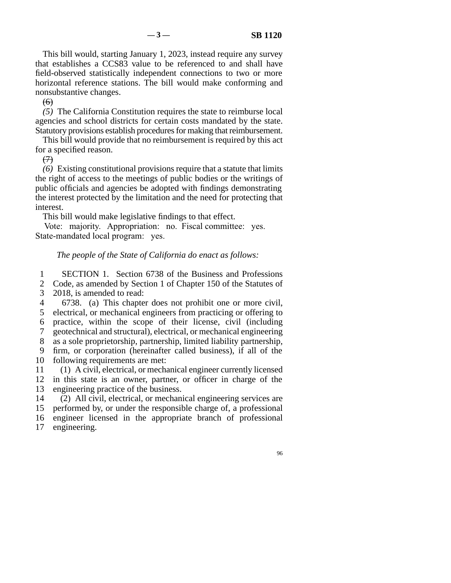This bill would, starting January 1, 2023, instead require any survey that establishes a CCS83 value to be referenced to and shall have feld-observed statistically independent connections to two or more horizontal reference stations. The bill would make conforming and nonsubstantive changes.

 $\Theta$ 

 *(5)* The California Constitution requires the state to reimburse local agencies and school districts for certain costs mandated by the state. Statutory provisions establish procedures for making that reimbursement.

This bill would provide that no reimbursement is required by this act for a specifed reason.

 $\leftrightarrow$ 

 *(6)* Existing constitutional provisions require that a statute that limits the right of access to the meetings of public bodies or the writings of public offcials and agencies be adopted with fndings demonstrating the interest protected by the limitation and the need for protecting that interest.

This bill would make legislative fndings to that effect.

 Vote: majority. Appropriation: no. Fiscal committee: yes. State-mandated local program: yes.

### *The people of the State of California do enact as follows:*

1 SECTION 1. Section 6738 of the Business and Professions<br>2 Code, as amended by Section 1 of Chapter 150 of the Statutes of

Code, as amended by Section 1 of Chapter 150 of the Statutes of 3 2018, is amended to read:

e 4 6738. (a) This chapter does not prohibit one or more civil, 5 electrical, or mechanical engineers from practicing or offering to e 6 practice, within the scope of their license, civil (including e 7 geotechnical and structural), electrical, or mechanical engineering e 8 as a sole proprietorship, partnership, limited liability partnership, e 9 frm, or corporation (hereinafter called business), if all of the

10 following requirements are met:

11 (1) A civil, electrical, or mechanical engineer currently licensed 12 in this state is an owner, partner, or officer in charge of the 13 engineering practice of the business.

14 (2) All civil, electrical, or mechanical engineering services are

15 performed by, or under the responsible charge of, a professional 16 engineer licensed in the appropriate branch of professional

17 engineering.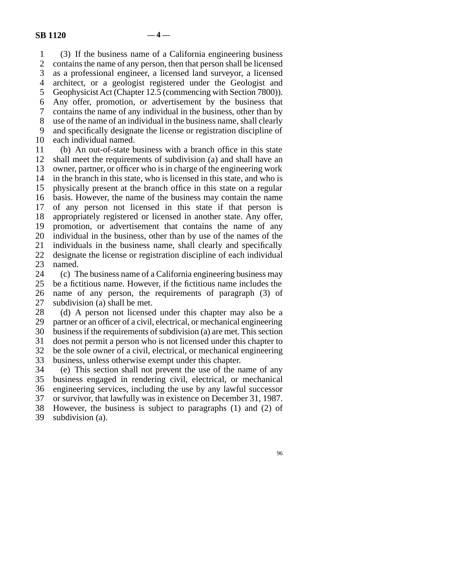(3) If the business name of a California engineering business 1 2 3 4 5 6 7 8 9 10 contains the name of any person, then that person shall be licensed as a professional engineer, a licensed land surveyor, a licensed architect, or a geologist registered under the Geologist and Geophysicist Act (Chapter 12.5 (commencing with Section 7800)). Any offer, promotion, or advertisement by the business that contains the name of any individual in the business, other than by use of the name of an individual in the business name, shall clearly and specifcally designate the license or registration discipline of each individual named.

 (b) An out-of-state business with a branch offce in this state 11 12 13 14 15 16 17 18 19 20 21 22 23 shall meet the requirements of subdivision (a) and shall have an owner, partner, or officer who is in charge of the engineering work in the branch in this state, who is licensed in this state, and who is physically present at the branch offce in this state on a regular basis. However, the name of the business may contain the name of any person not licensed in this state if that person is appropriately registered or licensed in another state. Any offer, promotion, or advertisement that contains the name of any individual in the business, other than by use of the names of the individuals in the business name, shall clearly and specifcally designate the license or registration discipline of each individual named.

 (c) The business name of a California engineering business may 24 25 26 27 be a fctitious name. However, if the fctitious name includes the name of any person, the requirements of paragraph (3) of subdivision (a) shall be met.

 (d) A person not licensed under this chapter may also be a 28 29 30 31 32 33 partner or an officer of a civil, electrical, or mechanical engineering business if the requirements of subdivision (a) are met. This section does not permit a person who is not licensed under this chapter to be the sole owner of a civil, electrical, or mechanical engineering business, unless otherwise exempt under this chapter.

 (e) This section shall not prevent the use of the name of any 34 35 36 37 38 business engaged in rendering civil, electrical, or mechanical engineering services, including the use by any lawful successor or survivor, that lawfully was in existence on December 31, 1987. However, the business is subject to paragraphs (1) and (2) of

39 subdivision (a).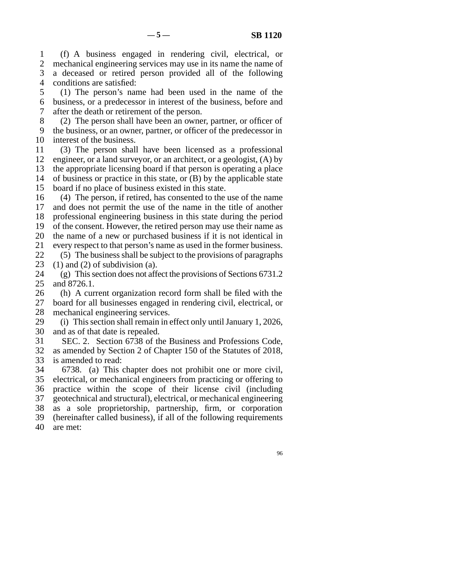(f) A business engaged in rendering civil, electrical, or 1 2 3 4 mechanical engineering services may use in its name the name of a deceased or retired person provided all of the following conditions are satisfed:

 (1) The person's name had been used in the name of the 5 6 7 business, or a predecessor in interest of the business, before and after the death or retirement of the person.

(2) The person shall have been an owner, partner, or officer of 8 9 10 the business, or an owner, partner, or offcer of the predecessor in interest of the business.

 (3) The person shall have been licensed as a professional 11 12 13 14 engineer, or a land surveyor, or an architect, or a geologist, (A) by the appropriate licensing board if that person is operating a place of business or practice in this state, or (B) by the applicable state

15 board if no place of business existed in this state.

 (4) The person, if retired, has consented to the use of the name (5) The business shall be subject to the provisions of paragraphs 16 17 18 19 20 21 22 and does not permit the use of the name in the title of another professional engineering business in this state during the period of the consent. However, the retired person may use their name as the name of a new or purchased business if it is not identical in every respect to that person's name as used in the former business.

23 (1) and (2) of subdivision (a).

 (g) This section does not affect the provisions of Sections 6731.2 24 25 and 8726.1.

 (h) A current organization record form shall be fled with the 26 27 28 board for all businesses engaged in rendering civil, electrical, or mechanical engineering services.

 (i) This section shall remain in effect only until January 1, 2026, 29 30 and as of that date is repealed.

31 32 33 SEC. 2. Section 6738 of the Business and Professions Code, as amended by Section 2 of Chapter 150 of the Statutes of 2018, is amended to read:

 6738. (a) This chapter does not prohibit one or more civil, 34 35 36 37 38 39 40 electrical, or mechanical engineers from practicing or offering to practice within the scope of their license civil (including geotechnical and structural), electrical, or mechanical engineering as a sole proprietorship, partnership, frm, or corporation (hereinafter called business), if all of the following requirements are met: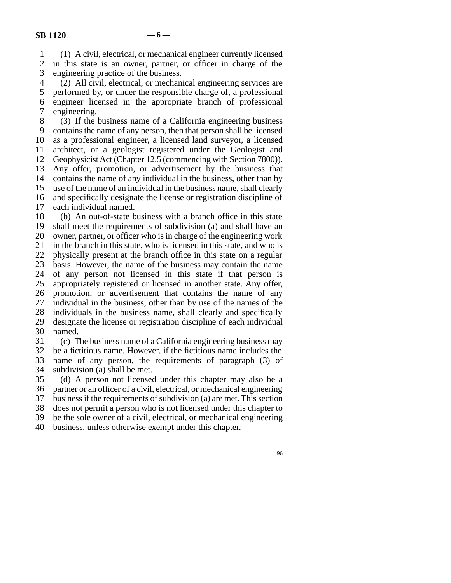(1) A civil, electrical, or mechanical engineer currently licensed 1 2 3 in this state is an owner, partner, or officer in charge of the engineering practice of the business.

 (2) All civil, electrical, or mechanical engineering services are 4 5 6 7 performed by, or under the responsible charge of, a professional engineer licensed in the appropriate branch of professional engineering.

 (3) If the business name of a California engineering business 8 9 10 11 12 13 14 15 16 17 contains the name of any person, then that person shall be licensed as a professional engineer, a licensed land surveyor, a licensed architect, or a geologist registered under the Geologist and Geophysicist Act (Chapter 12.5 (commencing with Section 7800)). Any offer, promotion, or advertisement by the business that contains the name of any individual in the business, other than by use of the name of an individual in the business name, shall clearly and specifcally designate the license or registration discipline of each individual named.

 (b) An out-of-state business with a branch offce in this state 18 19 20 21 22 23 24 25 26 27 28 29 30 shall meet the requirements of subdivision (a) and shall have an owner, partner, or officer who is in charge of the engineering work in the branch in this state, who is licensed in this state, and who is physically present at the branch office in this state on a regular basis. However, the name of the business may contain the name of any person not licensed in this state if that person is appropriately registered or licensed in another state. Any offer, promotion, or advertisement that contains the name of any individual in the business, other than by use of the names of the individuals in the business name, shall clearly and specifcally designate the license or registration discipline of each individual named.

 (c) The business name of a California engineering business may 31 32 33 34 be a fictitious name. However, if the fictitious name includes the name of any person, the requirements of paragraph (3) of subdivision (a) shall be met.

 (d) A person not licensed under this chapter may also be a 35 36 37 38 39 40 partner or an officer of a civil, electrical, or mechanical engineering business if the requirements of subdivision (a) are met. This section does not permit a person who is not licensed under this chapter to be the sole owner of a civil, electrical, or mechanical engineering business, unless otherwise exempt under this chapter.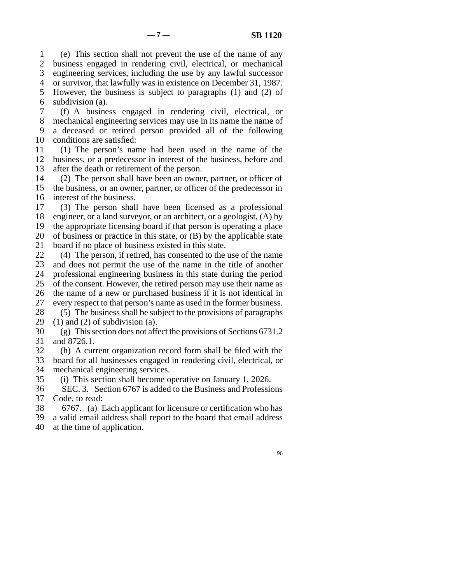(e) This section shall not prevent the use of the name of any 1 2 3 4 5 6 business engaged in rendering civil, electrical, or mechanical engineering services, including the use by any lawful successor or survivor, that lawfully was in existence on December 31, 1987. However, the business is subject to paragraphs (1) and (2) of subdivision (a).

 (f) A business engaged in rendering civil, electrical, or 7 8 9 10 mechanical engineering services may use in its name the name of a deceased or retired person provided all of the following conditions are satisfed:

 (1) The person's name had been used in the name of the 11 12 13 business, or a predecessor in interest of the business, before and after the death or retirement of the person.

(2) The person shall have been an owner, partner, or officer of 14 15 16 the business, or an owner, partner, or offcer of the predecessor in interest of the business.

 (3) The person shall have been licensed as a professional 17 18 19 20 21 engineer, or a land surveyor, or an architect, or a geologist, (A) by the appropriate licensing board if that person is operating a place of business or practice in this state, or (B) by the applicable state board if no place of business existed in this state.

 (4) The person, if retired, has consented to the use of the name (5) The business shall be subject to the provisions of paragraphs 22 23 24 25 26 27 28 29 and does not permit the use of the name in the title of another professional engineering business in this state during the period of the consent. However, the retired person may use their name as the name of a new or purchased business if it is not identical in every respect to that person's name as used in the former business. (1) and (2) of subdivision (a).

 (g) This section does not affect the provisions of Sections 6731.2 30 31 and 8726.1.

 (h) A current organization record form shall be fled with the 32 33 34 board for all businesses engaged in rendering civil, electrical, or mechanical engineering services.

 (i) This section shall become operative on January 1, 2026. 35

36 37 SEC. 3. Section 6767 is added to the Business and Professions Code, to read:

 6767. (a) Each applicant for licensure or certifcation who has 38

39 a valid email address shall report to the board that email address

40 at the time of application.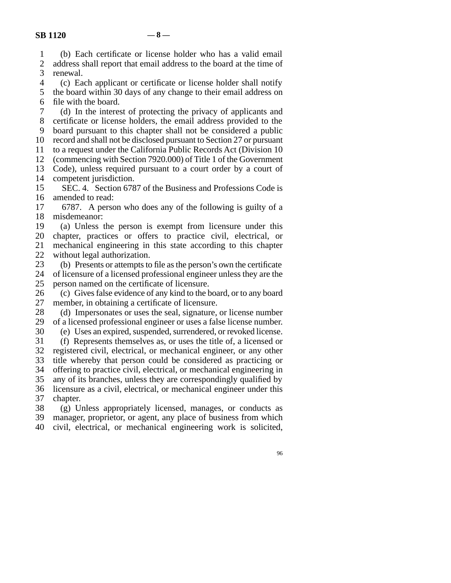(b) Each certifcate or license holder who has a valid email 1 2 address shall report that email address to the board at the time of

3 renewal.

 (c) Each applicant or certifcate or license holder shall notify 4 5 6 the board within 30 days of any change to their email address on fle with the board.

 (d) In the interest of protecting the privacy of applicants and 7 8 9 10 11 12 13 certifcate or license holders, the email address provided to the board pursuant to this chapter shall not be considered a public record and shall not be disclosed pursuant to Section 27 or pursuant to a request under the California Public Records Act (Division 10 (commencing with Section 7920.000) of Title 1 of the Government Code), unless required pursuant to a court order by a court of

14 competent jurisdiction.

15 16 SEC. 4. Section 6787 of the Business and Professions Code is amended to read:

17 18 6787. A person who does any of the following is guilty of a misdemeanor:

 (a) Unless the person is exempt from licensure under this 19 20 21 22 chapter, practices or offers to practice civil, electrical, or mechanical engineering in this state according to this chapter without legal authorization.

 (b) Presents or attempts to fle as the person's own the certifcate 23

24 25 of licensure of a licensed professional engineer unless they are the person named on the certifcate of licensure.

 (c) Gives false evidence of any kind to the board, or to any board 26 27 member, in obtaining a certifcate of licensure.

 (d) Impersonates or uses the seal, signature, or license number 28 29 of a licensed professional engineer or uses a false license number.

 (e) Uses an expired, suspended, surrendered, or revoked license. 30

 (f) Represents themselves as, or uses the title of, a licensed or 31 32 33 34 35 36 registered civil, electrical, or mechanical engineer, or any other title whereby that person could be considered as practicing or offering to practice civil, electrical, or mechanical engineering in any of its branches, unless they are correspondingly qualifed by licensure as a civil, electrical, or mechanical engineer under this

37 chapter.

 (g) Unless appropriately licensed, manages, or conducts as 38 39 40 manager, proprietor, or agent, any place of business from which civil, electrical, or mechanical engineering work is solicited,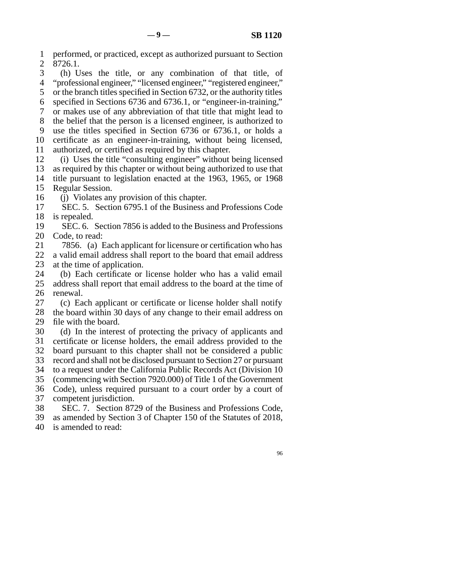1 2 performed, or practiced, except as authorized pursuant to Section 8726.1.

 (h) Uses the title, or any combination of that title, of 3 4 "professional engineer," "licensed engineer," "registered engineer,"

5 or the branch titles specifed in Section 6732, or the authority titles

6 specified in Sections 6736 and 6736.1, or "engineer-in-training,"

7 8 or makes use of any abbreviation of that title that might lead to

9 the belief that the person is a licensed engineer, is authorized to use the titles specifed in Section 6736 or 6736.1, or holds a

10 certifcate as an engineer-in-training, without being licensed,

11 authorized, or certifed as required by this chapter.

 (i) Uses the title "consulting engineer" without being licensed 12 13 as required by this chapter or without being authorized to use that

14 title pursuant to legislation enacted at the 1963, 1965, or 1968

15 Regular Session.

 (j) Violates any provision of this chapter. 16

17 18 SEC. 5. Section 6795.1 of the Business and Professions Code is repealed.

19 20 SEC. 6. Section 7856 is added to the Business and Professions Code, to read:

- 7856. (a) Each applicant for licensure or certifcation who has 21 22 23 a valid email address shall report to the board that email address at the time of application.
- (b) Each certifcate or license holder who has a valid email 24 25 26 address shall report that email address to the board at the time of renewal.

 (c) Each applicant or certifcate or license holder shall notify 27 28 29 the board within 30 days of any change to their email address on fle with the board.

 (d) In the interest of protecting the privacy of applicants and 30 31 32 33 34 35 36 certifcate or license holders, the email address provided to the board pursuant to this chapter shall not be considered a public record and shall not be disclosed pursuant to Section 27 or pursuant to a request under the California Public Records Act (Division 10 (commencing with Section 7920.000) of Title 1 of the Government Code), unless required pursuant to a court order by a court of

37 competent jurisdiction.

38 SEC. 7. Section 8729 of the Business and Professions Code,

39 as amended by Section 3 of Chapter 150 of the Statutes of 2018,

40 is amended to read: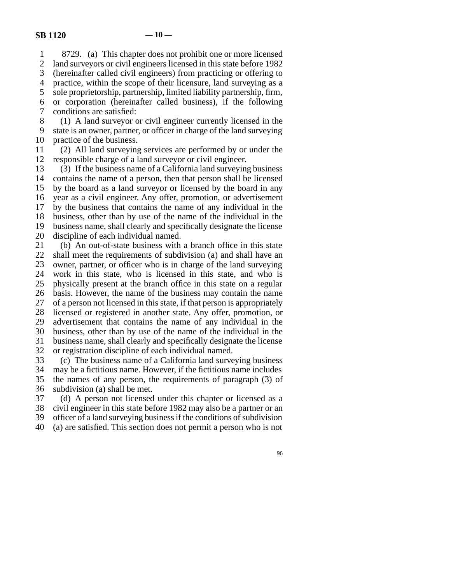8729. (a) This chapter does not prohibit one or more licensed 1 2 3 4 5 6 7 land surveyors or civil engineers licensed in this state before 1982 (hereinafter called civil engineers) from practicing or offering to practice, within the scope of their licensure, land surveying as a sole proprietorship, partnership, limited liability partnership, frm, or corporation (hereinafter called business), if the following conditions are satisfed:

 (1) A land surveyor or civil engineer currently licensed in the 8 9 10 state is an owner, partner, or officer in charge of the land surveying practice of the business.

 (2) All land surveying services are performed by or under the 11 12 responsible charge of a land surveyor or civil engineer.

 (3) If the business name of a California land surveying business 13 14 15 16 17 18 19 20 contains the name of a person, then that person shall be licensed by the board as a land surveyor or licensed by the board in any year as a civil engineer. Any offer, promotion, or advertisement by the business that contains the name of any individual in the business, other than by use of the name of the individual in the business name, shall clearly and specifcally designate the license discipline of each individual named.

 (b) An out-of-state business with a branch offce in this state 21 22 23 24 25 26 27 28 29 30 31 32 shall meet the requirements of subdivision (a) and shall have an owner, partner, or officer who is in charge of the land surveying work in this state, who is licensed in this state, and who is physically present at the branch office in this state on a regular basis. However, the name of the business may contain the name of a person not licensed in this state, if that person is appropriately licensed or registered in another state. Any offer, promotion, or advertisement that contains the name of any individual in the business, other than by use of the name of the individual in the business name, shall clearly and specifcally designate the license or registration discipline of each individual named.

 (c) The business name of a California land surveying business 33 34 35 36 may be a fictitious name. However, if the fictitious name includes the names of any person, the requirements of paragraph (3) of subdivision (a) shall be met.

 (d) A person not licensed under this chapter or licensed as a 37 38 39 40 civil engineer in this state before 1982 may also be a partner or an offcer of a land surveying business if the conditions of subdivision (a) are satisfed. This section does not permit a person who is not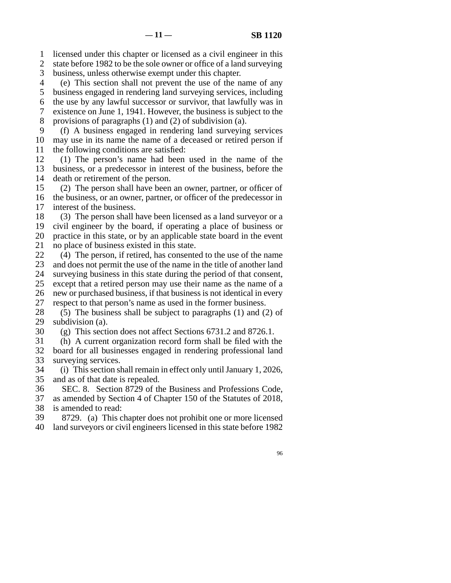1 licensed under this chapter or licensed as a civil engineer in this

2 3 state before 1982 to be the sole owner or office of a land surveying business, unless otherwise exempt under this chapter.

 (e) This section shall not prevent the use of the name of any 4

5 6 7 business engaged in rendering land surveying services, including the use by any lawful successor or survivor, that lawfully was in existence on June 1, 1941. However, the business is subject to the

8 provisions of paragraphs (1) and (2) of subdivision (a).

 (f) A business engaged in rendering land surveying services 9 10 11 may use in its name the name of a deceased or retired person if the following conditions are satisfed:

 (1) The person's name had been used in the name of the 12 13 14 business, or a predecessor in interest of the business, before the death or retirement of the person.

(2) The person shall have been an owner, partner, or officer of 15 16 17 the business, or an owner, partner, or offcer of the predecessor in interest of the business.

 (3) The person shall have been licensed as a land surveyor or a 18 19 20 21 civil engineer by the board, if operating a place of business or practice in this state, or by an applicable state board in the event no place of business existed in this state.

 (4) The person, if retired, has consented to the use of the name 22 23 24 25 26 27 and does not permit the use of the name in the title of another land surveying business in this state during the period of that consent, except that a retired person may use their name as the name of a new or purchased business, if that business is not identical in every respect to that person's name as used in the former business.

 (5) The business shall be subject to paragraphs (1) and (2) of 28 29 subdivision (a).

 (g) This section does not affect Sections 6731.2 and 8726.1. 30

 (h) A current organization record form shall be fled with the 31 32 33 board for all businesses engaged in rendering professional land surveying services.

 (i) This section shall remain in effect only until January 1, 2026, 34 35 and as of that date is repealed.

36 37 38 SEC. 8. Section 8729 of the Business and Professions Code, as amended by Section 4 of Chapter 150 of the Statutes of 2018, is amended to read:

 8729. (a) This chapter does not prohibit one or more licensed 39 40 land surveyors or civil engineers licensed in this state before 1982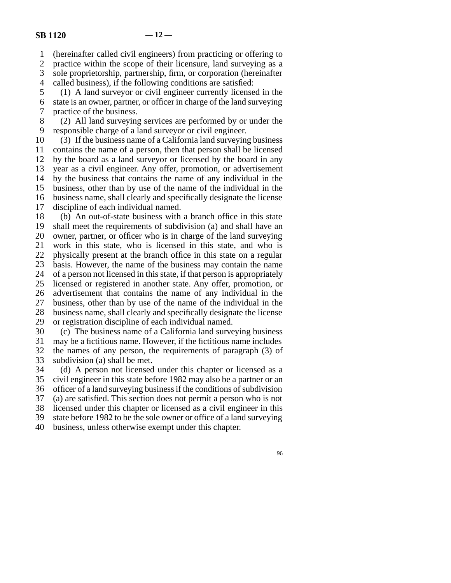1 (hereinafter called civil engineers) from practicing or offering to

2 3 practice within the scope of their licensure, land surveying as a sole proprietorship, partnership, frm, or corporation (hereinafter

4 called business), if the following conditions are satisfed:

 (1) A land surveyor or civil engineer currently licensed in the 5 6 7 state is an owner, partner, or officer in charge of the land surveying practice of the business.

 (2) All land surveying services are performed by or under the 8 9 responsible charge of a land surveyor or civil engineer.

 (3) If the business name of a California land surveying business 10 11 12 13 14 15 16 17 contains the name of a person, then that person shall be licensed by the board as a land surveyor or licensed by the board in any year as a civil engineer. Any offer, promotion, or advertisement by the business that contains the name of any individual in the business, other than by use of the name of the individual in the business name, shall clearly and specifcally designate the license discipline of each individual named.

 (b) An out-of-state business with a branch offce in this state 18 19 20 21 22 23 24 25 26 27 28 29 shall meet the requirements of subdivision (a) and shall have an owner, partner, or officer who is in charge of the land surveying work in this state, who is licensed in this state, and who is physically present at the branch offce in this state on a regular basis. However, the name of the business may contain the name of a person not licensed in this state, if that person is appropriately licensed or registered in another state. Any offer, promotion, or advertisement that contains the name of any individual in the business, other than by use of the name of the individual in the business name, shall clearly and specifcally designate the license or registration discipline of each individual named.

 (c) The business name of a California land surveying business 30 31 32 33 may be a fictitious name. However, if the fictitious name includes the names of any person, the requirements of paragraph (3) of subdivision (a) shall be met.

 (d) A person not licensed under this chapter or licensed as a 34 35 36 37 38 39 40 civil engineer in this state before 1982 may also be a partner or an offcer of a land surveying business if the conditions of subdivision (a) are satisfed. This section does not permit a person who is not licensed under this chapter or licensed as a civil engineer in this state before 1982 to be the sole owner or offce of a land surveying business, unless otherwise exempt under this chapter.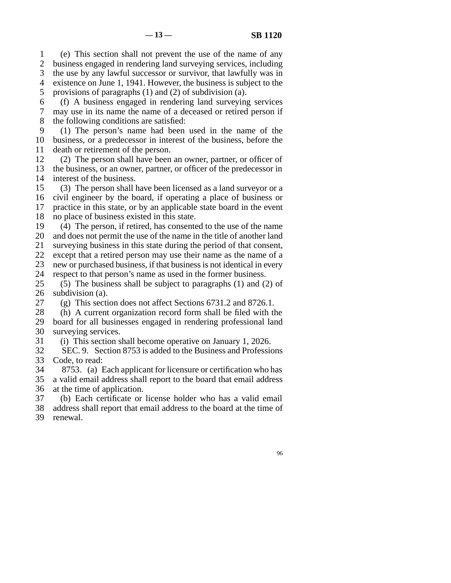(e) This section shall not prevent the use of the name of any 1 2 3 4 5 business engaged in rendering land surveying services, including the use by any lawful successor or survivor, that lawfully was in existence on June 1, 1941. However, the business is subject to the provisions of paragraphs (1) and (2) of subdivision (a).

 (f) A business engaged in rendering land surveying services 6 7 8 may use in its name the name of a deceased or retired person if the following conditions are satisfed:

 (1) The person's name had been used in the name of the 9 10 11 business, or a predecessor in interest of the business, before the death or retirement of the person.

(2) The person shall have been an owner, partner, or officer of 12 13 14 the business, or an owner, partner, or officer of the predecessor in interest of the business.

 (3) The person shall have been licensed as a land surveyor or a 15 16 17 18 civil engineer by the board, if operating a place of business or practice in this state, or by an applicable state board in the event no place of business existed in this state.

 (4) The person, if retired, has consented to the use of the name 19 20 21 and does not permit the use of the name in the title of another land surveying business in this state during the period of that consent,

22 except that a retired person may use their name as the name of a

23 new or purchased business, if that business is not identical in every

24 respect to that person's name as used in the former business.

 (5) The business shall be subject to paragraphs (1) and (2) of 25 26 subdivision (a).

 (g) This section does not affect Sections 6731.2 and 8726.1. 27

 (h) A current organization record form shall be fled with the 28 29 30 board for all businesses engaged in rendering professional land surveying services.

 (i) This section shall become operative on January 1, 2026. 31

32 33 SEC. 9. Section 8753 is added to the Business and Professions Code, to read:

 8753. (a) Each applicant for licensure or certifcation who has 34 35 36 a valid email address shall report to the board that email address at the time of application.

 (b) Each certifcate or license holder who has a valid email 37

38 39 address shall report that email address to the board at the time of renewal.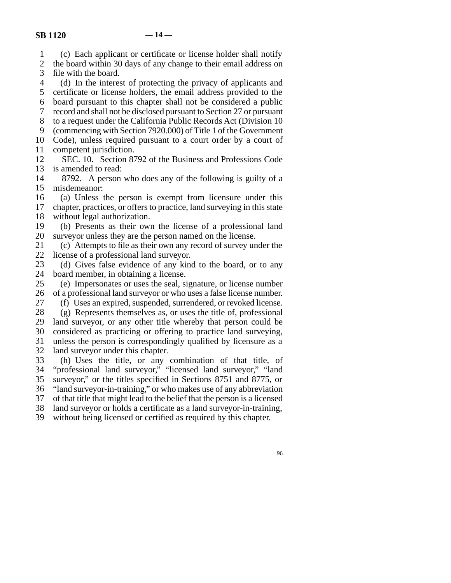(c) Each applicant or certifcate or license holder shall notify 1

2 3 the board within 30 days of any change to their email address on fle with the board.

 (d) In the interest of protecting the privacy of applicants and 4 5 6 7 8 9 10 11 certifcate or license holders, the email address provided to the board pursuant to this chapter shall not be considered a public record and shall not be disclosed pursuant to Section 27 or pursuant to a request under the California Public Records Act (Division 10 (commencing with Section 7920.000) of Title 1 of the Government Code), unless required pursuant to a court order by a court of competent jurisdiction.

12 13 SEC. 10. Section 8792 of the Business and Professions Code is amended to read:

14 15 8792. A person who does any of the following is guilty of a misdemeanor:

 (a) Unless the person is exempt from licensure under this 16 17 18 chapter, practices, or offers to practice, land surveying in this state without legal authorization.

 (b) Presents as their own the license of a professional land 19 20 surveyor unless they are the person named on the license.

 (c) Attempts to fle as their own any record of survey under the 21 22 license of a professional land surveyor.

 (d) Gives false evidence of any kind to the board, or to any 23 24 board member, in obtaining a license.

 (e) Impersonates or uses the seal, signature, or license number 25 26 of a professional land surveyor or who uses a false license number.

 (f) Uses an expired, suspended, surrendered, or revoked license. 27

 (g) Represents themselves as, or uses the title of, professional 28

29 30 31 land surveyor, or any other title whereby that person could be considered as practicing or offering to practice land surveying, unless the person is correspondingly qualifed by licensure as a

32 land surveyor under this chapter.

 (h) Uses the title, or any combination of that title, of 33 34 35 "professional land surveyor," "licensed land surveyor," "land surveyor," or the titles specifed in Sections 8751 and 8775, or

36 "land surveyor-in-training," or who makes use of any abbreviation

37 38 of that title that might lead to the belief that the person is a licensed land surveyor or holds a certifcate as a land surveyor-in-training,

39 without being licensed or certifed as required by this chapter.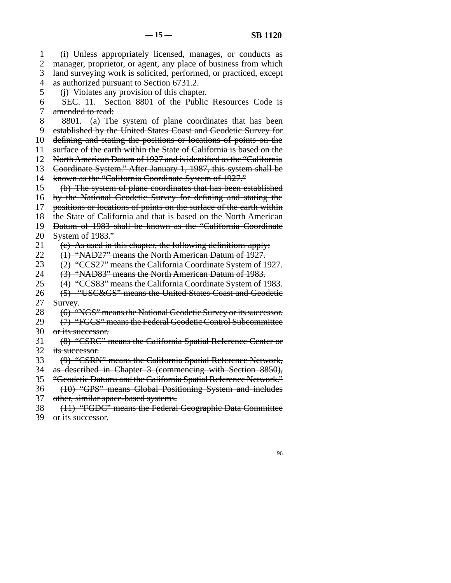(i) Unless appropriately licensed, manages, or conducts as 1 2 3 4 manager, proprietor, or agent, any place of business from which land surveying work is solicited, performed, or practiced, except as authorized pursuant to Section 6731.2.

 (j) Violates any provision of this chapter. 5

6 7 SEC. 11. Section 8801 of the Public Resources Code is amended to read:

8801. (a) The system of plane coordinates that has been 8

9 established by the United States Coast and Geodetic Survey for

10 defning and stating the positions or locations of points on the

11 surface of the earth within the State of California is based on the

12 North American Datum of 1927 and is identifed as the "California

13 Coordinate System." After January 1, 1987, this system shall be

14 known as the "California Coordinate System of 1927."

 (b) The system of plane coordinates that has been established 15

16 by the National Geodetic Survey for defning and stating the

17 positions or locations of points on the surface of the earth within

18 the State of California and that is based on the North American

19 Datum of 1983 shall be known as the "California Coordinate

20 System of 1983."

 (c) As used in this chapter, the following defnitions apply: 21

 (1) "NAD27" means the North American Datum of 1927. 22

 (2) "CCS27" means the California Coordinate System of 1927. 23

 (3) "NAD83" means the North American Datum of 1983. 24

 (4) "CCS83" means the California Coordinate System of 1983. 25

 (5) "USC&GS" means the United States Coast and Geodetic 26

27 Survey.

 (6) "NGS" means the National Geodetic Survey or its successor. 28

 (7) "FGCS" means the Federal Geodetic Control Subcommittee 29

30 or its successor.

 (8) "CSRC" means the California Spatial Reference Center or 31 32 its successor.

 (9) "CSRN" means the California Spatial Reference Network, 33

34 as described in Chapter 3 (commencing with Section 8850),

35 "Geodetic Datums and the California Spatial Reference Network."

 (10) "GPS" means Global Positioning System and includes 36

37 other, similar space-based systems.

 (11) "FGDC" means the Federal Geographic Data Committee 38

39 or its successor.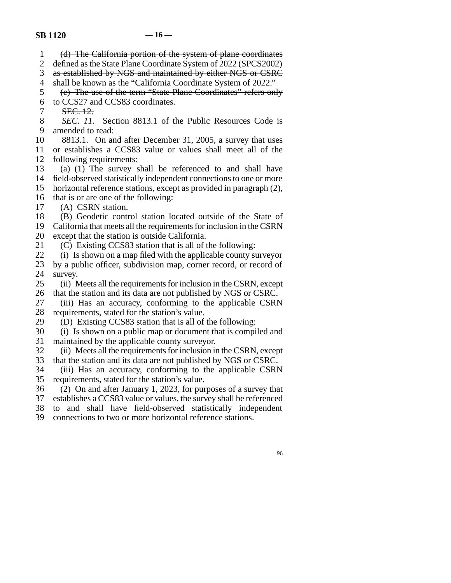(d) The California portion of the system of plane coordinates 1

2 defned as the State Plane Coordinate System of 2022 (SPCS2002)

3 as established by NGS and maintained by either NGS or CSRC

4 shall be known as the "California Coordinate System of 2022."

 (e) The use of the term "State Plane Coordinates" refers only 5 6 to CCS27 and CCS83 coordinates.

7 SEC. 12.

8 9 *SEC. 11.* Section 8813.1 of the Public Resources Code is amended to read:

10 11 12 8813.1. On and after December 31, 2005, a survey that uses or establishes a CCS83 value or values shall meet all of the following requirements:

 (a) (1) The survey shall be referenced to and shall have 13 14 15 16 feld-observed statistically independent connections to one or more horizontal reference stations, except as provided in paragraph (2), that is or are one of the following:

 (A) CSRN station. 17

 (B) Geodetic control station located outside of the State of 18 19 20 California that meets all the requirements for inclusion in the CSRN

except that the station is outside California.

 (C) Existing CCS83 station that is all of the following: 21

 (i) Is shown on a map fled with the applicable county surveyor 22 23 24 by a public officer, subdivision map, corner record, or record of survey.

 (ii) Meets all the requirements for inclusion in the CSRN, except 25 26 that the station and its data are not published by NGS or CSRC.

 (iii) Has an accuracy, conforming to the applicable CSRN 27 28 requirements, stated for the station's value.

 (D) Existing CCS83 station that is all of the following: 29

 (i) Is shown on a public map or document that is compiled and 30 31 maintained by the applicable county surveyor.

 (ii) Meets all the requirements for inclusion in the CSRN, except 32 33 that the station and its data are not published by NGS or CSRC.

 (iii) Has an accuracy, conforming to the applicable CSRN 34 35 requirements, stated for the station's value.

 (2) On and after January 1, 2023, for purposes of a survey that 36 37 38 line establishes a CCS83 value or values, the survey shall be referenced to and shall have feld-observed statistically independent

39 connections to two or more horizontal reference stations.